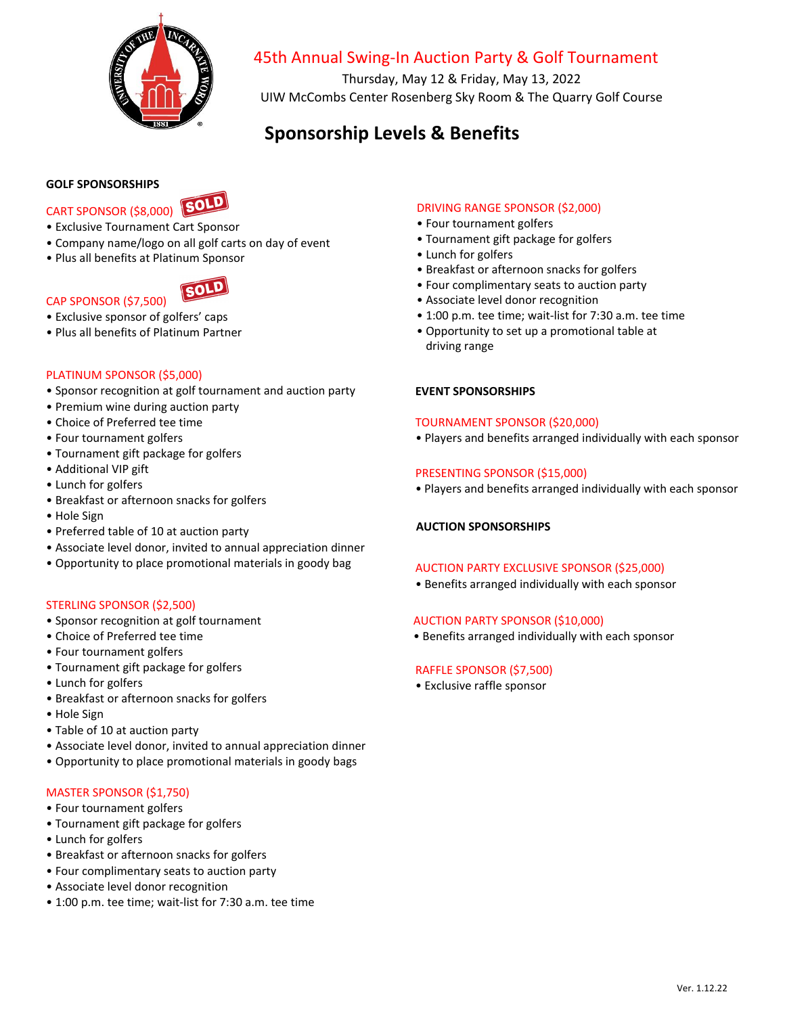

## 45th Annual Swing-In Auction Party & Golf Tournament

Thursday, May 12 & Friday, May 13, 2022 UIW McCombs Center Rosenberg Sky Room & The Quarry Golf Course

# **Sponsorship Levels & Benefits**

### **GOLF SPONSORSHIPS**



- Exclusive Tournament Cart Sponsor
- Company name/logo on all golf carts on day of event
- Plus all benefits at Platinum Sponsor



## CAP SPONSOR (\$7,500)

- Exclusive sponsor of golfers' caps
- Plus all benefits of Platinum Partner

#### PLATINUM SPONSOR (\$5,000)

- Sponsor recognition at golf tournament and auction party
- Premium wine during auction party
- Choice of Preferred tee time
- Four tournament golfers
- Tournament gift package for golfers
- Additional VIP gift
- Lunch for golfers
- Breakfast or afternoon snacks for golfers
- Hole Sign
- Preferred table of 10 at auction party
- Associate level donor, invited to annual appreciation dinner
- Opportunity to place promotional materials in goody bag

## STERLING SPONSOR (\$2,500)

- Sponsor recognition at golf tournament
- Choice of Preferred tee time
- Four tournament golfers
- Tournament gift package for golfers
- Lunch for golfers
- Breakfast or afternoon snacks for golfers
- Hole Sign
- Table of 10 at auction party
- Associate level donor, invited to annual appreciation dinner
- Opportunity to place promotional materials in goody bags

#### MASTER SPONSOR (\$1,750)

- Four tournament golfers
- Tournament gift package for golfers
- Lunch for golfers
- Breakfast or afternoon snacks for golfers
- Four complimentary seats to auction party
- Associate level donor recognition
- 1:00 p.m. tee time; wait-list for 7:30 a.m. tee time

## DRIVING RANGE SPONSOR (\$2,000)

- Four tournament golfers
- Tournament gift package for golfers
- Lunch for golfers
- Breakfast or afternoon snacks for golfers
- Four complimentary seats to auction party
- Associate level donor recognition
- 1:00 p.m. tee time; wait-list for 7:30 a.m. tee time
- Opportunity to set up a promotional table at driving range

## **EVENT SPONSORSHIPS**

#### TOURNAMENT SPONSOR (\$20,000)

• Players and benefits arranged individually with each sponsor

#### PRESENTING SPONSOR (\$15,000)

• Players and benefits arranged individually with each sponsor

## **AUCTION SPONSORSHIPS**

#### AUCTION PARTY EXCLUSIVE SPONSOR (\$25,000)

• Benefits arranged individually with each sponsor

## AUCTION PARTY SPONSOR (\$10,000)

• Benefits arranged individually with each sponsor

## RAFFLE SPONSOR (\$7,500)

• Exclusive raffle sponsor